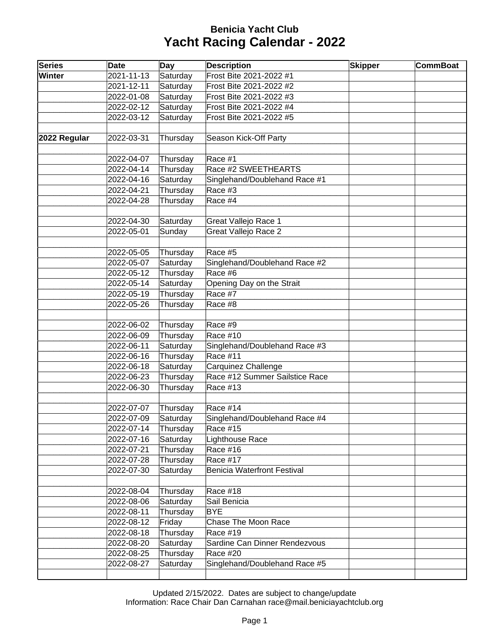## **Benicia Yacht Club Yacht Racing Calendar - 2022**

| <b>Series</b> | <b>Date</b> | <b>Day</b> | <b>Description</b>             | <b>Skipper</b> | <b>CommBoat</b> |
|---------------|-------------|------------|--------------------------------|----------------|-----------------|
| Winter        | 2021-11-13  | Saturday   | Frost Bite 2021-2022 #1        |                |                 |
|               | 2021-12-11  | Saturday   | Frost Bite 2021-2022 #2        |                |                 |
|               | 2022-01-08  | Saturday   | Frost Bite 2021-2022 #3        |                |                 |
|               | 2022-02-12  | Saturday   | Frost Bite 2021-2022 #4        |                |                 |
|               | 2022-03-12  | Saturday   | Frost Bite 2021-2022 #5        |                |                 |
|               |             |            |                                |                |                 |
| 2022 Regular  | 2022-03-31  | Thursday   | Season Kick-Off Party          |                |                 |
|               |             |            |                                |                |                 |
|               | 2022-04-07  | Thursday   | Race #1                        |                |                 |
|               | 2022-04-14  | Thursday   | Race #2 SWEETHEARTS            |                |                 |
|               | 2022-04-16  | Saturday   | Singlehand/Doublehand Race #1  |                |                 |
|               | 2022-04-21  | Thursday   | Race #3                        |                |                 |
|               | 2022-04-28  | Thursday   | Race #4                        |                |                 |
|               |             |            |                                |                |                 |
|               | 2022-04-30  | Saturday   | Great Vallejo Race 1           |                |                 |
|               | 2022-05-01  | Sunday     | <b>Great Vallejo Race 2</b>    |                |                 |
|               |             |            |                                |                |                 |
|               | 2022-05-05  | Thursday   | Race #5                        |                |                 |
|               | 2022-05-07  | Saturday   | Singlehand/Doublehand Race #2  |                |                 |
|               | 2022-05-12  | Thursday   | Race #6                        |                |                 |
|               | 2022-05-14  | Saturday   | Opening Day on the Strait      |                |                 |
|               | 2022-05-19  | Thursday   | Race #7                        |                |                 |
|               | 2022-05-26  | Thursday   | Race #8                        |                |                 |
|               |             |            |                                |                |                 |
|               | 2022-06-02  | Thursday   | Race #9                        |                |                 |
|               | 2022-06-09  | Thursday   | Race #10                       |                |                 |
|               | 2022-06-11  | Saturday   | Singlehand/Doublehand Race #3  |                |                 |
|               | 2022-06-16  | Thursday   | Race #11                       |                |                 |
|               | 2022-06-18  | Saturday   | Carquinez Challenge            |                |                 |
|               | 2022-06-23  | Thursday   | Race #12 Summer Sailstice Race |                |                 |
|               | 2022-06-30  | Thursday   | Race #13                       |                |                 |
|               |             |            |                                |                |                 |
|               | 2022-07-07  | Thursday   | Race #14                       |                |                 |
|               | 2022-07-09  | Saturday   | Singlehand/Doublehand Race #4  |                |                 |
|               | 2022-07-14  | Thursday   | <b>Race #15</b>                |                |                 |
|               | 2022-07-16  | Saturday   | Lighthouse Race                |                |                 |
|               | 2022-07-21  | Thursday   | <b>Race #16</b>                |                |                 |
|               | 2022-07-28  | Thursday   | Race #17                       |                |                 |
|               | 2022-07-30  | Saturday   | Benicia Waterfront Festival    |                |                 |
|               |             |            |                                |                |                 |
|               | 2022-08-04  | Thursday   | Race #18                       |                |                 |
|               | 2022-08-06  | Saturday   | Sail Benicia                   |                |                 |
|               | 2022-08-11  | Thursday   | <b>BYE</b>                     |                |                 |
|               | 2022-08-12  | Friday     | Chase The Moon Race            |                |                 |
|               | 2022-08-18  | Thursday   | Race #19                       |                |                 |
|               | 2022-08-20  | Saturday   | Sardine Can Dinner Rendezvous  |                |                 |
|               | 2022-08-25  | Thursday   | <b>Race #20</b>                |                |                 |
|               | 2022-08-27  | Saturday   | Singlehand/Doublehand Race #5  |                |                 |
|               |             |            |                                |                |                 |

Updated 2/15/2022. Dates are subject to change/update Information: Race Chair Dan Carnahan race@mail.beniciayachtclub.org